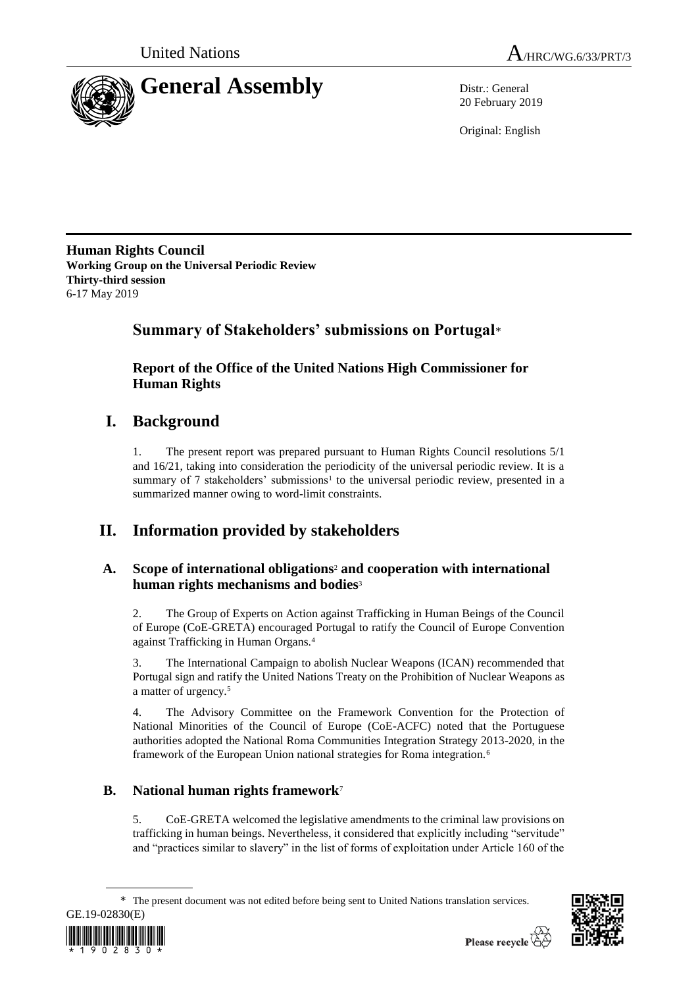



20 February 2019

Original: English

**Human Rights Council Working Group on the Universal Periodic Review Thirty-third session** 6-17 May 2019

# **Summary of Stakeholders' submissions on Portugal**\*

**Report of the Office of the United Nations High Commissioner for Human Rights**

# **I. Background**

1. The present report was prepared pursuant to Human Rights Council resolutions 5/1 and 16/21, taking into consideration the periodicity of the universal periodic review. It is a summary of 7 stakeholders' submissions<sup>1</sup> to the universal periodic review, presented in a summarized manner owing to word-limit constraints.

# **II. Information provided by stakeholders**

# **A. Scope of international obligations**<sup>2</sup> **and cooperation with international human rights mechanisms and bodies**<sup>3</sup>

2. The Group of Experts on Action against Trafficking in Human Beings of the Council of Europe (CoE-GRETA) encouraged Portugal to ratify the Council of Europe Convention against Trafficking in Human Organs.<sup>4</sup>

3. The International Campaign to abolish Nuclear Weapons (ICAN) recommended that Portugal sign and ratify the United Nations Treaty on the Prohibition of Nuclear Weapons as a matter of urgency.<sup>5</sup>

4. The Advisory Committee on the Framework Convention for the Protection of National Minorities of the Council of Europe (CoE-ACFC) noted that the Portuguese authorities adopted the National Roma Communities Integration Strategy 2013-2020, in the framework of the European Union national strategies for Roma integration.<sup>6</sup>

# **B. National human rights framework**<sup>7</sup>

5. CoE-GRETA welcomed the legislative amendments to the criminal law provisions on trafficking in human beings. Nevertheless, it considered that explicitly including "servitude" and "practices similar to slavery" in the list of forms of exploitation under Article 160 of the

\* The present document was not edited before being sent to United Nations translation services.



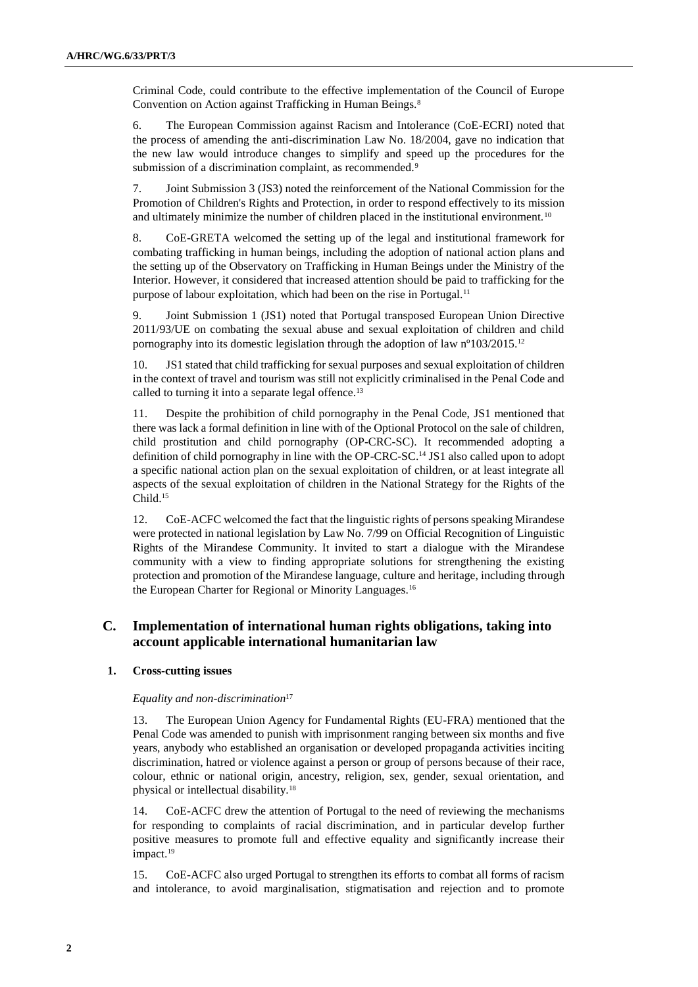Criminal Code, could contribute to the effective implementation of the Council of Europe Convention on Action against Trafficking in Human Beings.<sup>8</sup>

6. The European Commission against Racism and Intolerance (CoE-ECRI) noted that the process of amending the anti-discrimination Law No. 18/2004, gave no indication that the new law would introduce changes to simplify and speed up the procedures for the submission of a discrimination complaint, as recommended.<sup>9</sup>

7. Joint Submission 3 (JS3) noted the reinforcement of the National Commission for the Promotion of Children's Rights and Protection, in order to respond effectively to its mission and ultimately minimize the number of children placed in the institutional environment.<sup>10</sup>

8. CoE-GRETA welcomed the setting up of the legal and institutional framework for combating trafficking in human beings, including the adoption of national action plans and the setting up of the Observatory on Trafficking in Human Beings under the Ministry of the Interior. However, it considered that increased attention should be paid to trafficking for the purpose of labour exploitation, which had been on the rise in Portugal.<sup>11</sup>

9. Joint Submission 1 (JS1) noted that Portugal transposed European Union Directive 2011/93/UE on combating the sexual abuse and sexual exploitation of children and child pornography into its domestic legislation through the adoption of law nº103/2015.<sup>12</sup>

10. JS1 stated that child trafficking for sexual purposes and sexual exploitation of children in the context of travel and tourism was still not explicitly criminalised in the Penal Code and called to turning it into a separate legal offence.<sup>13</sup>

11. Despite the prohibition of child pornography in the Penal Code, JS1 mentioned that there was lack a formal definition in line with of the Optional Protocol on the sale of children, child prostitution and child pornography (OP-CRC-SC). It recommended adopting a definition of child pornography in line with the OP-CRC-SC.<sup>14</sup> JS1 also called upon to adopt a specific national action plan on the sexual exploitation of children, or at least integrate all aspects of the sexual exploitation of children in the National Strategy for the Rights of the Child<sup>15</sup>

12. CoE-ACFC welcomed the fact that the linguistic rights of persons speaking Mirandese were protected in national legislation by Law No. 7/99 on Official Recognition of Linguistic Rights of the Mirandese Community. It invited to start a dialogue with the Mirandese community with a view to finding appropriate solutions for strengthening the existing protection and promotion of the Mirandese language, culture and heritage, including through the European Charter for Regional or Minority Languages.<sup>16</sup>

# **C. Implementation of international human rights obligations, taking into account applicable international humanitarian law**

# **1. Cross-cutting issues**

# *Equality and non-discrimination*<sup>17</sup>

13. The European Union Agency for Fundamental Rights (EU-FRA) mentioned that the Penal Code was amended to punish with imprisonment ranging between six months and five years, anybody who established an organisation or developed propaganda activities inciting discrimination, hatred or violence against a person or group of persons because of their race, colour, ethnic or national origin, ancestry, religion, sex, gender, sexual orientation, and physical or intellectual disability.<sup>18</sup>

14. CoE-ACFC drew the attention of Portugal to the need of reviewing the mechanisms for responding to complaints of racial discrimination, and in particular develop further positive measures to promote full and effective equality and significantly increase their impact.<sup>19</sup>

15. CoE-ACFC also urged Portugal to strengthen its efforts to combat all forms of racism and intolerance, to avoid marginalisation, stigmatisation and rejection and to promote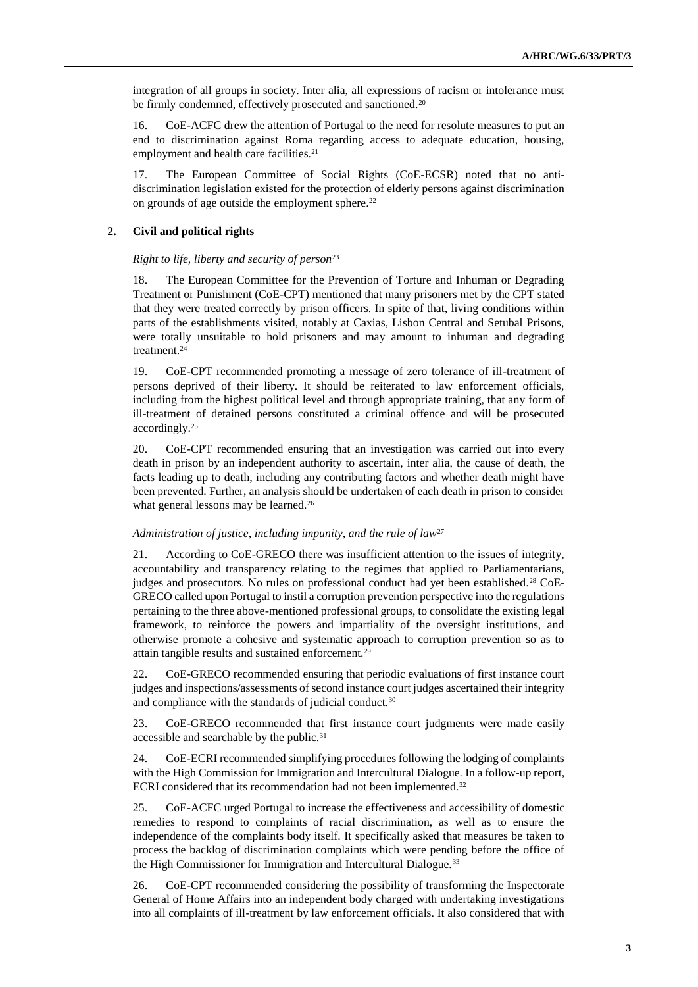integration of all groups in society. Inter alia, all expressions of racism or intolerance must be firmly condemned, effectively prosecuted and sanctioned.<sup>20</sup>

16. CoE-ACFC drew the attention of Portugal to the need for resolute measures to put an end to discrimination against Roma regarding access to adequate education, housing, employment and health care facilities.<sup>21</sup>

17. The European Committee of Social Rights (CoE-ECSR) noted that no antidiscrimination legislation existed for the protection of elderly persons against discrimination on grounds of age outside the employment sphere.<sup>22</sup>

# **2. Civil and political rights**

# *Right to life, liberty and security of person*<sup>23</sup>

18. The European Committee for the Prevention of Torture and Inhuman or Degrading Treatment or Punishment (CoE-CPT) mentioned that many prisoners met by the CPT stated that they were treated correctly by prison officers. In spite of that, living conditions within parts of the establishments visited, notably at Caxias, Lisbon Central and Setubal Prisons, were totally unsuitable to hold prisoners and may amount to inhuman and degrading treatment.<sup>24</sup>

19. CoE-CPT recommended promoting a message of zero tolerance of ill-treatment of persons deprived of their liberty. It should be reiterated to law enforcement officials, including from the highest political level and through appropriate training, that any form of ill-treatment of detained persons constituted a criminal offence and will be prosecuted accordingly.<sup>25</sup>

20. CoE-CPT recommended ensuring that an investigation was carried out into every death in prison by an independent authority to ascertain, inter alia, the cause of death, the facts leading up to death, including any contributing factors and whether death might have been prevented. Further, an analysis should be undertaken of each death in prison to consider what general lessons may be learned.<sup>26</sup>

# *Administration of justice, including impunity, and the rule of law*<sup>27</sup>

21. According to CoE-GRECO there was insufficient attention to the issues of integrity, accountability and transparency relating to the regimes that applied to Parliamentarians, judges and prosecutors. No rules on professional conduct had yet been established.<sup>28</sup> CoE-GRECO called upon Portugal to instil a corruption prevention perspective into the regulations pertaining to the three above-mentioned professional groups, to consolidate the existing legal framework, to reinforce the powers and impartiality of the oversight institutions, and otherwise promote a cohesive and systematic approach to corruption prevention so as to attain tangible results and sustained enforcement.<sup>29</sup>

22. CoE-GRECO recommended ensuring that periodic evaluations of first instance court judges and inspections/assessments of second instance court judges ascertained their integrity and compliance with the standards of judicial conduct.<sup>30</sup>

23. CoE-GRECO recommended that first instance court judgments were made easily accessible and searchable by the public.<sup>31</sup>

24. CoE-ECRI recommended simplifying procedures following the lodging of complaints with the High Commission for Immigration and Intercultural Dialogue. In a follow-up report, ECRI considered that its recommendation had not been implemented.<sup>32</sup>

25. CoE-ACFC urged Portugal to increase the effectiveness and accessibility of domestic remedies to respond to complaints of racial discrimination, as well as to ensure the independence of the complaints body itself. It specifically asked that measures be taken to process the backlog of discrimination complaints which were pending before the office of the High Commissioner for Immigration and Intercultural Dialogue.<sup>33</sup>

26. CoE-CPT recommended considering the possibility of transforming the Inspectorate General of Home Affairs into an independent body charged with undertaking investigations into all complaints of ill-treatment by law enforcement officials. It also considered that with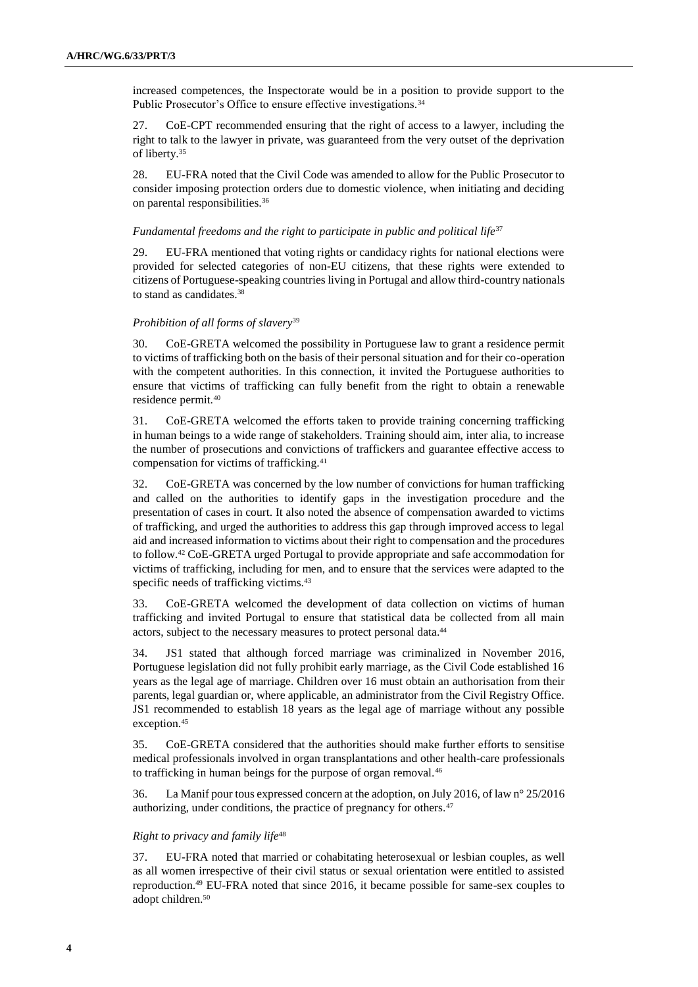increased competences, the Inspectorate would be in a position to provide support to the Public Prosecutor's Office to ensure effective investigations.<sup>34</sup>

27. CoE-CPT recommended ensuring that the right of access to a lawyer, including the right to talk to the lawyer in private, was guaranteed from the very outset of the deprivation of liberty.<sup>35</sup>

28. EU-FRA noted that the Civil Code was amended to allow for the Public Prosecutor to consider imposing protection orders due to domestic violence, when initiating and deciding on parental responsibilities.<sup>36</sup>

# *Fundamental freedoms and the right to participate in public and political life*<sup>37</sup>

29. EU-FRA mentioned that voting rights or candidacy rights for national elections were provided for selected categories of non-EU citizens, that these rights were extended to citizens of Portuguese-speaking countries living in Portugal and allow third-country nationals to stand as candidates.<sup>38</sup>

#### *Prohibition of all forms of slavery*<sup>39</sup>

30. CoE-GRETA welcomed the possibility in Portuguese law to grant a residence permit to victims of trafficking both on the basis of their personal situation and for their co-operation with the competent authorities. In this connection, it invited the Portuguese authorities to ensure that victims of trafficking can fully benefit from the right to obtain a renewable residence permit.<sup>40</sup>

31. CoE-GRETA welcomed the efforts taken to provide training concerning trafficking in human beings to a wide range of stakeholders. Training should aim, inter alia, to increase the number of prosecutions and convictions of traffickers and guarantee effective access to compensation for victims of trafficking.<sup>41</sup>

32. CoE-GRETA was concerned by the low number of convictions for human trafficking and called on the authorities to identify gaps in the investigation procedure and the presentation of cases in court. It also noted the absence of compensation awarded to victims of trafficking, and urged the authorities to address this gap through improved access to legal aid and increased information to victims about their right to compensation and the procedures to follow.<sup>42</sup> CoE-GRETA urged Portugal to provide appropriate and safe accommodation for victims of trafficking, including for men, and to ensure that the services were adapted to the specific needs of trafficking victims.<sup>43</sup>

33. CoE-GRETA welcomed the development of data collection on victims of human trafficking and invited Portugal to ensure that statistical data be collected from all main actors, subject to the necessary measures to protect personal data.<sup>44</sup>

34. JS1 stated that although forced marriage was criminalized in November 2016, Portuguese legislation did not fully prohibit early marriage, as the Civil Code established 16 years as the legal age of marriage. Children over 16 must obtain an authorisation from their parents, legal guardian or, where applicable, an administrator from the Civil Registry Office. JS1 recommended to establish 18 years as the legal age of marriage without any possible exception.<sup>45</sup>

35. CoE-GRETA considered that the authorities should make further efforts to sensitise medical professionals involved in organ transplantations and other health-care professionals to trafficking in human beings for the purpose of organ removal.<sup>46</sup>

36. La Manif pour tous expressed concern at the adoption, on July 2016, of law n° 25/2016 authorizing, under conditions, the practice of pregnancy for others.<sup>47</sup>

#### *Right to privacy and family life*<sup>48</sup>

37. EU-FRA noted that married or cohabitating heterosexual or lesbian couples, as well as all women irrespective of their civil status or sexual orientation were entitled to assisted reproduction.<sup>49</sup> EU-FRA noted that since 2016, it became possible for same-sex couples to adopt children.50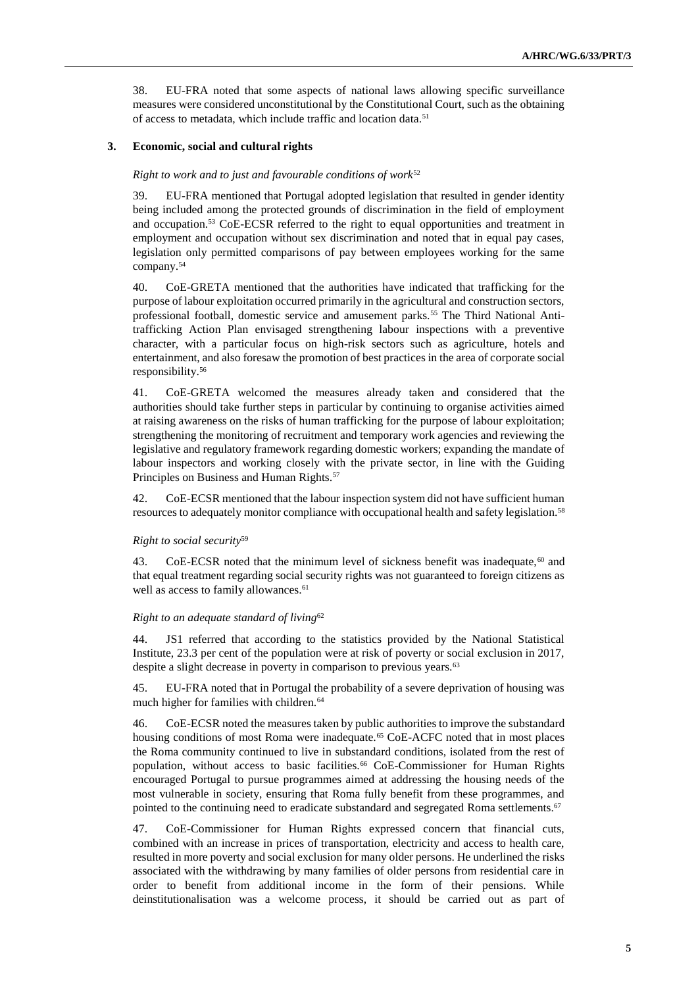38. EU-FRA noted that some aspects of national laws allowing specific surveillance measures were considered unconstitutional by the Constitutional Court, such as the obtaining of access to metadata, which include traffic and location data.<sup>51</sup>

# **3. Economic, social and cultural rights**

# *Right to work and to just and favourable conditions of work*<sup>52</sup>

39. EU-FRA mentioned that Portugal adopted legislation that resulted in gender identity being included among the protected grounds of discrimination in the field of employment and occupation.<sup>53</sup> CoE-ECSR referred to the right to equal opportunities and treatment in employment and occupation without sex discrimination and noted that in equal pay cases, legislation only permitted comparisons of pay between employees working for the same company.<sup>54</sup>

40. CoE-GRETA mentioned that the authorities have indicated that trafficking for the purpose of labour exploitation occurred primarily in the agricultural and construction sectors, professional football, domestic service and amusement parks.<sup>55</sup> The Third National Antitrafficking Action Plan envisaged strengthening labour inspections with a preventive character, with a particular focus on high-risk sectors such as agriculture, hotels and entertainment, and also foresaw the promotion of best practices in the area of corporate social responsibility.<sup>56</sup>

41. CoE-GRETA welcomed the measures already taken and considered that the authorities should take further steps in particular by continuing to organise activities aimed at raising awareness on the risks of human trafficking for the purpose of labour exploitation; strengthening the monitoring of recruitment and temporary work agencies and reviewing the legislative and regulatory framework regarding domestic workers; expanding the mandate of labour inspectors and working closely with the private sector, in line with the Guiding Principles on Business and Human Rights.<sup>57</sup>

42. CoE-ECSR mentioned that the labour inspection system did not have sufficient human resources to adequately monitor compliance with occupational health and safety legislation.<sup>58</sup>

# *Right to social security*<sup>59</sup>

43. CoE-ECSR noted that the minimum level of sickness benefit was inadequate, $60$  and that equal treatment regarding social security rights was not guaranteed to foreign citizens as well as access to family allowances.<sup>61</sup>

# *Right to an adequate standard of living*<sup>62</sup>

44. JS1 referred that according to the statistics provided by the National Statistical Institute, 23.3 per cent of the population were at risk of poverty or social exclusion in 2017, despite a slight decrease in poverty in comparison to previous years.<sup>63</sup>

45. EU-FRA noted that in Portugal the probability of a severe deprivation of housing was much higher for families with children.<sup>64</sup>

46. CoE-ECSR noted the measures taken by public authorities to improve the substandard housing conditions of most Roma were inadequate.<sup>65</sup> CoE-ACFC noted that in most places the Roma community continued to live in substandard conditions, isolated from the rest of population, without access to basic facilities.<sup>66</sup> CoE-Commissioner for Human Rights encouraged Portugal to pursue programmes aimed at addressing the housing needs of the most vulnerable in society, ensuring that Roma fully benefit from these programmes, and pointed to the continuing need to eradicate substandard and segregated Roma settlements.<sup>67</sup>

47. CoE-Commissioner for Human Rights expressed concern that financial cuts, combined with an increase in prices of transportation, electricity and access to health care, resulted in more poverty and social exclusion for many older persons. He underlined the risks associated with the withdrawing by many families of older persons from residential care in order to benefit from additional income in the form of their pensions. While deinstitutionalisation was a welcome process, it should be carried out as part of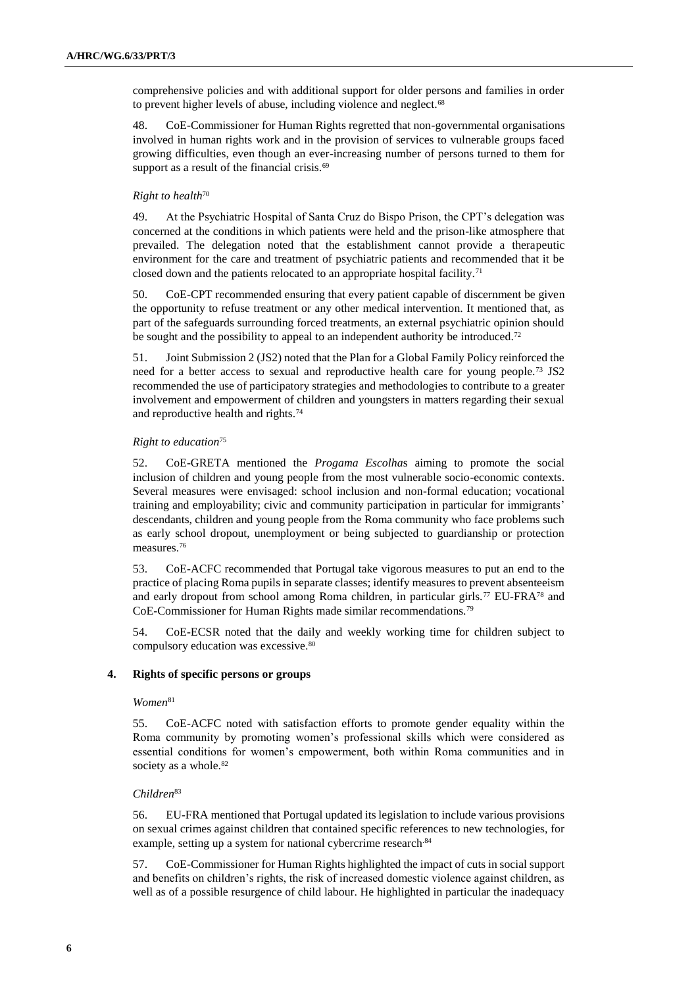comprehensive policies and with additional support for older persons and families in order to prevent higher levels of abuse, including violence and neglect.<sup>68</sup>

48. CoE-Commissioner for Human Rights regretted that non-governmental organisations involved in human rights work and in the provision of services to vulnerable groups faced growing difficulties, even though an ever-increasing number of persons turned to them for support as a result of the financial crisis.<sup>69</sup>

# *Right to health*<sup>70</sup>

49. At the Psychiatric Hospital of Santa Cruz do Bispo Prison, the CPT's delegation was concerned at the conditions in which patients were held and the prison-like atmosphere that prevailed. The delegation noted that the establishment cannot provide a therapeutic environment for the care and treatment of psychiatric patients and recommended that it be closed down and the patients relocated to an appropriate hospital facility.<sup>71</sup>

50. CoE-CPT recommended ensuring that every patient capable of discernment be given the opportunity to refuse treatment or any other medical intervention. It mentioned that, as part of the safeguards surrounding forced treatments, an external psychiatric opinion should be sought and the possibility to appeal to an independent authority be introduced.<sup>72</sup>

51. Joint Submission 2 (JS2) noted that the Plan for a Global Family Policy reinforced the need for a better access to sexual and reproductive health care for young people.<sup>73</sup> JS2 recommended the use of participatory strategies and methodologies to contribute to a greater involvement and empowerment of children and youngsters in matters regarding their sexual and reproductive health and rights.<sup>74</sup>

# *Right to education*<sup>75</sup>

52. CoE-GRETA mentioned the *Progama Escolha*s aiming to promote the social inclusion of children and young people from the most vulnerable socio-economic contexts. Several measures were envisaged: school inclusion and non-formal education; vocational training and employability; civic and community participation in particular for immigrants' descendants, children and young people from the Roma community who face problems such as early school dropout, unemployment or being subjected to guardianship or protection measures.<sup>76</sup>

53. CoE-ACFC recommended that Portugal take vigorous measures to put an end to the practice of placing Roma pupils in separate classes; identify measures to prevent absenteeism and early dropout from school among Roma children, in particular girls.<sup>77</sup> EU-FRA<sup>78</sup> and CoE-Commissioner for Human Rights made similar recommendations.<sup>79</sup>

54. CoE-ECSR noted that the daily and weekly working time for children subject to compulsory education was excessive.<sup>80</sup>

# **4. Rights of specific persons or groups**

# $Women<sup>81</sup>$

55. CoE-ACFC noted with satisfaction efforts to promote gender equality within the Roma community by promoting women's professional skills which were considered as essential conditions for women's empowerment, both within Roma communities and in society as a whole.<sup>82</sup>

# *Children*<sup>83</sup>

56. EU-FRA mentioned that Portugal updated its legislation to include various provisions on sexual crimes against children that contained specific references to new technologies, for example, setting up a system for national cybercrime research.84

57. CoE-Commissioner for Human Rights highlighted the impact of cuts in social support and benefits on children's rights, the risk of increased domestic violence against children, as well as of a possible resurgence of child labour. He highlighted in particular the inadequacy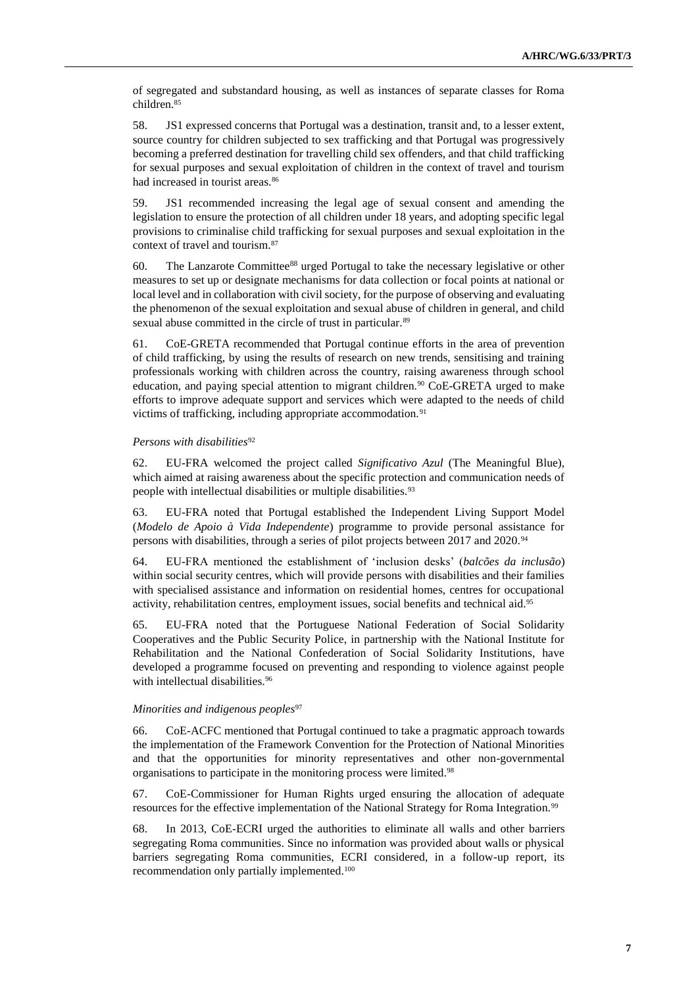of segregated and substandard housing, as well as instances of separate classes for Roma children.<sup>85</sup>

58. JS1 expressed concerns that Portugal was a destination, transit and, to a lesser extent, source country for children subjected to sex trafficking and that Portugal was progressively becoming a preferred destination for travelling child sex offenders, and that child trafficking for sexual purposes and sexual exploitation of children in the context of travel and tourism had increased in tourist areas.<sup>86</sup>

59. JS1 recommended increasing the legal age of sexual consent and amending the legislation to ensure the protection of all children under 18 years, and adopting specific legal provisions to criminalise child trafficking for sexual purposes and sexual exploitation in the context of travel and tourism.<sup>87</sup>

60. The Lanzarote Committee<sup>88</sup> urged Portugal to take the necessary legislative or other measures to set up or designate mechanisms for data collection or focal points at national or local level and in collaboration with civil society, for the purpose of observing and evaluating the phenomenon of the sexual exploitation and sexual abuse of children in general, and child sexual abuse committed in the circle of trust in particular.<sup>89</sup>

61. CoE-GRETA recommended that Portugal continue efforts in the area of prevention of child trafficking, by using the results of research on new trends, sensitising and training professionals working with children across the country, raising awareness through school education, and paying special attention to migrant children.<sup>90</sup> CoE-GRETA urged to make efforts to improve adequate support and services which were adapted to the needs of child victims of trafficking, including appropriate accommodation.<sup>91</sup>

# *Persons with disabilities*<sup>92</sup>

62. EU-FRA welcomed the project called *Significativo Azul* (The Meaningful Blue), which aimed at raising awareness about the specific protection and communication needs of people with intellectual disabilities or multiple disabilities.<sup>93</sup>

63. EU-FRA noted that Portugal established the Independent Living Support Model (*Modelo de Apoio à Vida Independente*) programme to provide personal assistance for persons with disabilities, through a series of pilot projects between 2017 and 2020.<sup>94</sup>

64. EU-FRA mentioned the establishment of 'inclusion desks' (*balcões da inclusão*) within social security centres, which will provide persons with disabilities and their families with specialised assistance and information on residential homes, centres for occupational activity, rehabilitation centres, employment issues, social benefits and technical aid.<sup>95</sup>

65. EU-FRA noted that the Portuguese National Federation of Social Solidarity Cooperatives and the Public Security Police, in partnership with the National Institute for Rehabilitation and the National Confederation of Social Solidarity Institutions, have developed a programme focused on preventing and responding to violence against people with intellectual disabilities.<sup>96</sup>

#### *Minorities and indigenous peoples*<sup>97</sup>

66. CoE-ACFC mentioned that Portugal continued to take a pragmatic approach towards the implementation of the Framework Convention for the Protection of National Minorities and that the opportunities for minority representatives and other non-governmental organisations to participate in the monitoring process were limited.<sup>98</sup>

67. CoE-Commissioner for Human Rights urged ensuring the allocation of adequate resources for the effective implementation of the National Strategy for Roma Integration.<sup>99</sup>

68. In 2013, CoE-ECRI urged the authorities to eliminate all walls and other barriers segregating Roma communities. Since no information was provided about walls or physical barriers segregating Roma communities, ECRI considered, in a follow-up report, its recommendation only partially implemented.100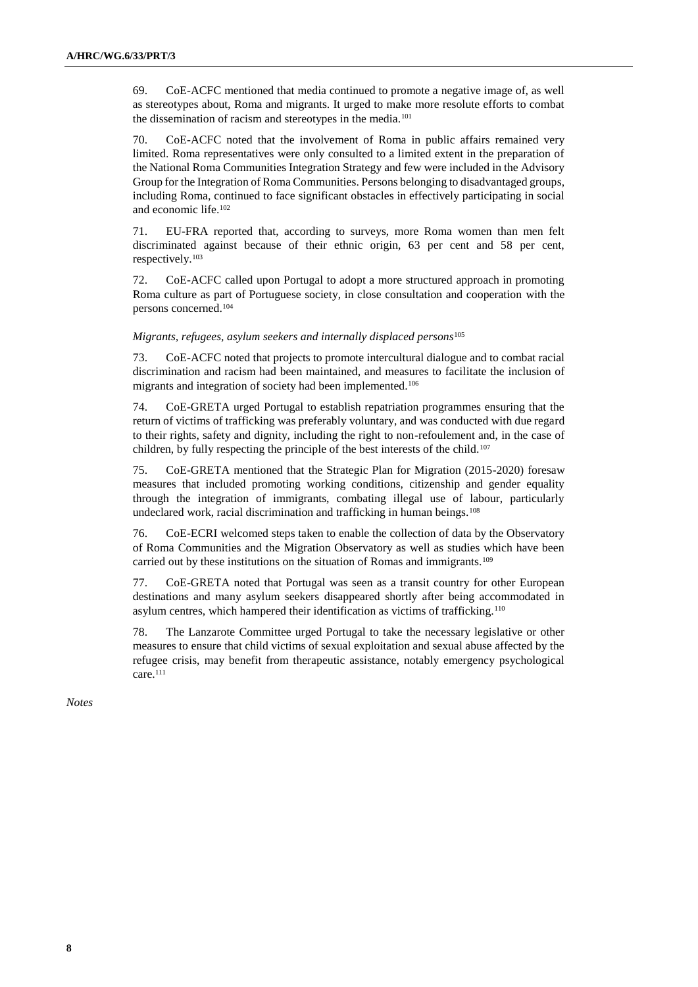69. CoE-ACFC mentioned that media continued to promote a negative image of, as well as stereotypes about, Roma and migrants. It urged to make more resolute efforts to combat the dissemination of racism and stereotypes in the media.<sup>101</sup>

70. CoE-ACFC noted that the involvement of Roma in public affairs remained very limited. Roma representatives were only consulted to a limited extent in the preparation of the National Roma Communities Integration Strategy and few were included in the Advisory Group for the Integration of Roma Communities. Persons belonging to disadvantaged groups, including Roma, continued to face significant obstacles in effectively participating in social and economic life.<sup>102</sup>

71. EU-FRA reported that, according to surveys, more Roma women than men felt discriminated against because of their ethnic origin, 63 per cent and 58 per cent, respectively.<sup>103</sup>

72. CoE-ACFC called upon Portugal to adopt a more structured approach in promoting Roma culture as part of Portuguese society, in close consultation and cooperation with the persons concerned.<sup>104</sup>

*Migrants, refugees, asylum seekers and internally displaced persons*<sup>105</sup>

73. CoE-ACFC noted that projects to promote intercultural dialogue and to combat racial discrimination and racism had been maintained, and measures to facilitate the inclusion of migrants and integration of society had been implemented.<sup>106</sup>

74. CoE-GRETA urged Portugal to establish repatriation programmes ensuring that the return of victims of trafficking was preferably voluntary, and was conducted with due regard to their rights, safety and dignity, including the right to non-refoulement and, in the case of children, by fully respecting the principle of the best interests of the child.<sup>107</sup>

75. CoE-GRETA mentioned that the Strategic Plan for Migration (2015-2020) foresaw measures that included promoting working conditions, citizenship and gender equality through the integration of immigrants, combating illegal use of labour, particularly undeclared work, racial discrimination and trafficking in human beings.<sup>108</sup>

76. CoE-ECRI welcomed steps taken to enable the collection of data by the Observatory of Roma Communities and the Migration Observatory as well as studies which have been carried out by these institutions on the situation of Romas and immigrants.<sup>109</sup>

77. CoE-GRETA noted that Portugal was seen as a transit country for other European destinations and many asylum seekers disappeared shortly after being accommodated in asylum centres, which hampered their identification as victims of trafficking.<sup>110</sup>

78. The Lanzarote Committee urged Portugal to take the necessary legislative or other measures to ensure that child victims of sexual exploitation and sexual abuse affected by the refugee crisis, may benefit from therapeutic assistance, notably emergency psychological care.<sup>111</sup>

*Notes*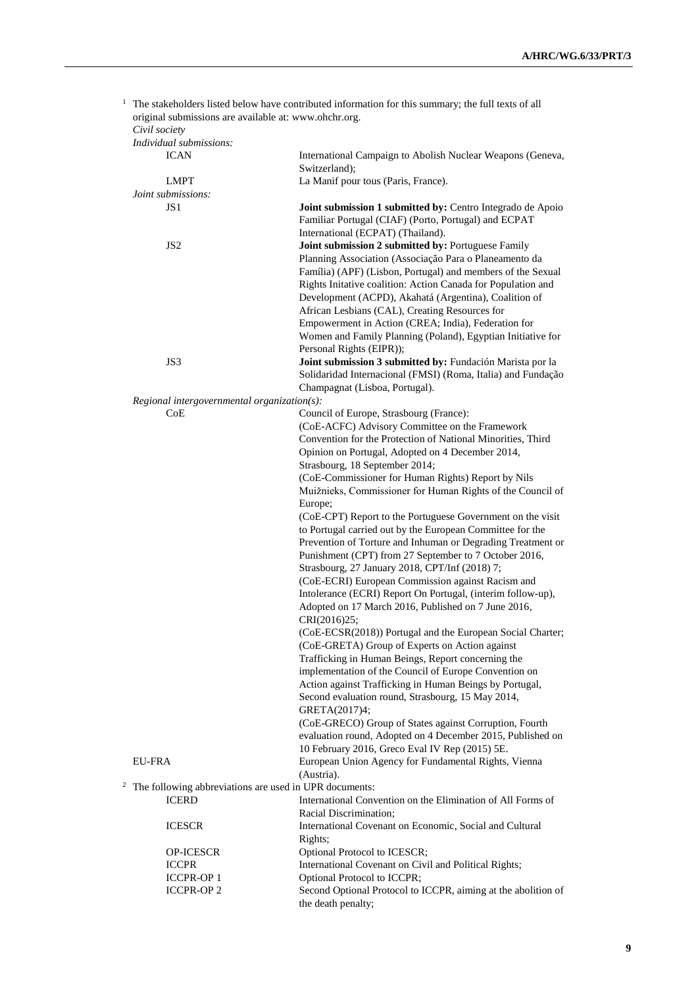|                | original submissions are available at: www.ohchr.org.<br>Civil society | $1$ The stakeholders listed below have contributed information for this summary; the full texts of all                                                                                                                                          |
|----------------|------------------------------------------------------------------------|-------------------------------------------------------------------------------------------------------------------------------------------------------------------------------------------------------------------------------------------------|
|                | Individual submissions:                                                |                                                                                                                                                                                                                                                 |
|                | <b>ICAN</b>                                                            | International Campaign to Abolish Nuclear Weapons (Geneva,<br>Switzerland);                                                                                                                                                                     |
|                | <b>LMPT</b>                                                            | La Manif pour tous (Paris, France).                                                                                                                                                                                                             |
|                | Joint submissions:                                                     |                                                                                                                                                                                                                                                 |
|                | JS 1                                                                   | Joint submission 1 submitted by: Centro Integrado de Apoio<br>Familiar Portugal (CIAF) (Porto, Portugal) and ECPAT                                                                                                                              |
|                | JS <sub>2</sub>                                                        | International (ECPAT) (Thailand).<br>Joint submission 2 submitted by: Portuguese Family<br>Planning Association (Associação Para o Planeamento da                                                                                               |
|                |                                                                        | Família) (APF) (Lisbon, Portugal) and members of the Sexual<br>Rights Initative coalition: Action Canada for Population and<br>Development (ACPD), Akahatá (Argentina), Coalition of                                                            |
|                |                                                                        | African Lesbians (CAL), Creating Resources for<br>Empowerment in Action (CREA; India), Federation for<br>Women and Family Planning (Poland), Egyptian Initiative for                                                                            |
|                | JS3                                                                    | Personal Rights (EIPR));<br>Joint submission 3 submitted by: Fundación Marista por la                                                                                                                                                           |
|                |                                                                        | Solidaridad Internacional (FMSI) (Roma, Italia) and Fundação<br>Champagnat (Lisboa, Portugal).                                                                                                                                                  |
|                | Regional intergovernmental organization(s):                            |                                                                                                                                                                                                                                                 |
|                | CoE                                                                    | Council of Europe, Strasbourg (France):<br>(CoE-ACFC) Advisory Committee on the Framework                                                                                                                                                       |
|                |                                                                        | Convention for the Protection of National Minorities, Third<br>Opinion on Portugal, Adopted on 4 December 2014,                                                                                                                                 |
|                |                                                                        | Strasbourg, 18 September 2014;                                                                                                                                                                                                                  |
|                |                                                                        | (CoE-Commissioner for Human Rights) Report by Nils<br>Muižnieks, Commissioner for Human Rights of the Council of                                                                                                                                |
|                |                                                                        | Europe;                                                                                                                                                                                                                                         |
|                |                                                                        | (CoE-CPT) Report to the Portuguese Government on the visit<br>to Portugal carried out by the European Committee for the<br>Prevention of Torture and Inhuman or Degrading Treatment or<br>Punishment (CPT) from 27 September to 7 October 2016, |
|                |                                                                        | Strasbourg, 27 January 2018, CPT/Inf (2018) 7;<br>(CoE-ECRI) European Commission against Racism and<br>Intolerance (ECRI) Report On Portugal, (interim follow-up),<br>Adopted on 17 March 2016, Published on 7 June 2016,                       |
|                |                                                                        | CRI(2016)25;<br>(CoE-ECSR(2018)) Portugal and the European Social Charter;                                                                                                                                                                      |
|                |                                                                        | (CoE-GRETA) Group of Experts on Action against<br>Trafficking in Human Beings, Report concerning the                                                                                                                                            |
|                |                                                                        | implementation of the Council of Europe Convention on<br>Action against Trafficking in Human Beings by Portugal,<br>Second evaluation round, Strasbourg, 15 May 2014,                                                                           |
|                |                                                                        | GRETA(2017)4;<br>(CoE-GRECO) Group of States against Corruption, Fourth                                                                                                                                                                         |
|                | <b>EU-FRA</b>                                                          | evaluation round, Adopted on 4 December 2015, Published on<br>10 February 2016, Greco Eval IV Rep (2015) 5E.<br>European Union Agency for Fundamental Rights, Vienna                                                                            |
|                |                                                                        | (Austria).                                                                                                                                                                                                                                      |
| $\overline{c}$ | The following abbreviations are used in UPR documents:                 |                                                                                                                                                                                                                                                 |
|                | <b>ICERD</b>                                                           | International Convention on the Elimination of All Forms of<br>Racial Discrimination;                                                                                                                                                           |
|                | <b>ICESCR</b>                                                          | International Covenant on Economic, Social and Cultural<br>Rights;                                                                                                                                                                              |
|                | OP-ICESCR                                                              | Optional Protocol to ICESCR;                                                                                                                                                                                                                    |
|                | <b>ICCPR</b>                                                           | International Covenant on Civil and Political Rights;                                                                                                                                                                                           |
|                | <b>ICCPR-OP1</b>                                                       | Optional Protocol to ICCPR;                                                                                                                                                                                                                     |
|                | <b>ICCPR-OP2</b>                                                       | Second Optional Protocol to ICCPR, aiming at the abolition of<br>the death penalty;                                                                                                                                                             |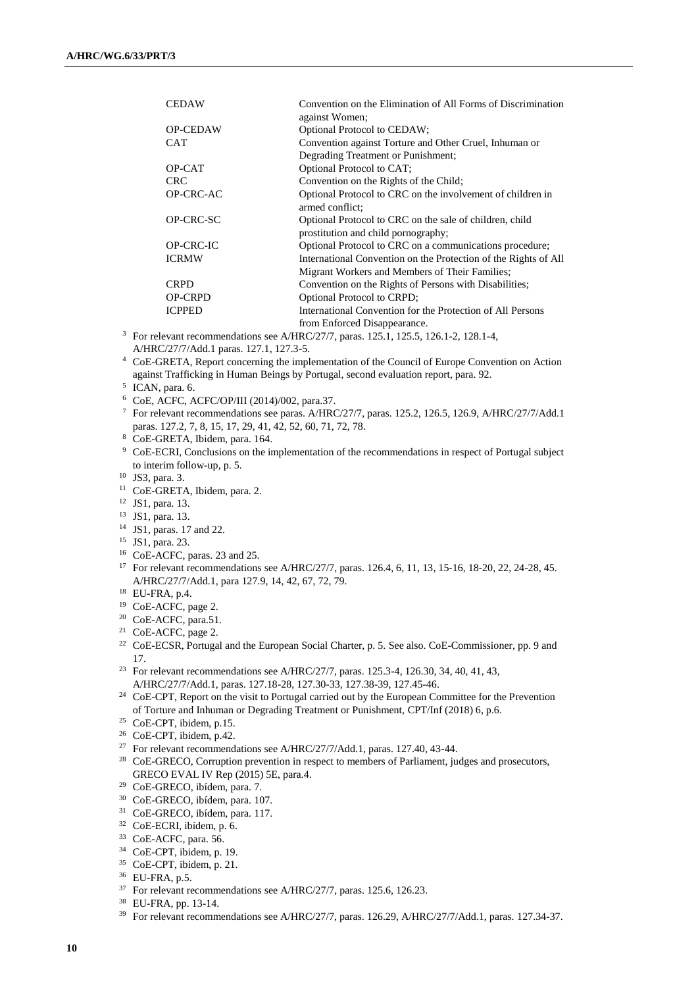| <b>CEDAW</b>    | Convention on the Elimination of All Forms of Discrimination<br>against Women;                 |
|-----------------|------------------------------------------------------------------------------------------------|
| <b>OP-CEDAW</b> | Optional Protocol to CEDAW;                                                                    |
| <b>CAT</b>      | Convention against Torture and Other Cruel, Inhuman or                                         |
|                 | Degrading Treatment or Punishment;                                                             |
| OP-CAT          | Optional Protocol to CAT;                                                                      |
| <b>CRC</b>      | Convention on the Rights of the Child;                                                         |
| OP-CRC-AC       | Optional Protocol to CRC on the involvement of children in<br>armed conflict:                  |
| OP-CRC-SC       | Optional Protocol to CRC on the sale of children, child<br>prostitution and child pornography; |
| OP-CRC-IC       | Optional Protocol to CRC on a communications procedure;                                        |
| <b>ICRMW</b>    | International Convention on the Protection of the Rights of All                                |
|                 | Migrant Workers and Members of Their Families;                                                 |
| <b>CRPD</b>     | Convention on the Rights of Persons with Disabilities;                                         |
| <b>OP-CRPD</b>  | Optional Protocol to CRPD;                                                                     |
| <b>ICPPED</b>   | International Convention for the Protection of All Persons                                     |
|                 | from Enforced Disappearance.                                                                   |

- <sup>3</sup> For relevant recommendations see A/HRC/27/7, paras. 125.1, 125.5, 126.1-2, 128.1-4, A/HRC/27/7/Add.1 paras. 127.1, 127.3-5.
- <sup>4</sup> CoE-GRETA, Report concerning the implementation of the Council of Europe Convention on Action against Trafficking in Human Beings by Portugal, second evaluation report, para. 92.
- 5 ICAN, para. 6.
- <sup>6</sup> CoE, ACFC, ACFC/OP/III (2014)/002, para.37.
- <sup>7</sup> For relevant recommendations see paras. A/HRC/27/7, paras. 125.2, 126.5, 126.9, A/HRC/27/7/Add.1 paras. 127.2, 7, 8, 15, 17, 29, 41, 42, 52, 60, 71, 72, 78.
- <sup>8</sup> CoE-GRETA, Ibidem, para. 164.
- <sup>9</sup> CoE-ECRI, Conclusions on the implementation of the recommendations in respect of Portugal subject to interim follow-up, p. 5.
- <sup>10</sup> JS3, para. 3.
- <sup>11</sup> CoE-GRETA, Ibidem, para. 2.
- <sup>12</sup> JS1, para. 13.
- <sup>13</sup> JS1, para. 13.
- <sup>14</sup> JS1, paras. 17 and 22.
- <sup>15</sup> JS1, para. 23.
- <sup>16</sup> CoE-ACFC, paras. 23 and 25.
- <sup>17</sup> For relevant recommendations see A/HRC/27/7, paras. 126.4, 6, 11, 13, 15-16, 18-20, 22, 24-28, 45. A/HRC/27/7/Add.1, para 127.9, 14, 42, 67, 72, 79.
- <sup>18</sup> EU-FRA, p.4.
- <sup>19</sup> CoE-ACFC, page 2.
- <sup>20</sup> CoE-ACFC, para.51.
- <sup>21</sup> CoE-ACFC, page 2.
- <sup>22</sup> CoE-ECSR, Portugal and the European Social Charter, p. 5. See also. CoE-Commissioner, pp. 9 and 17.
- <sup>23</sup> For relevant recommendations see A/HRC/27/7, paras. 125.3-4, 126.30, 34, 40, 41, 43, A/HRC/27/7/Add.1, paras. 127.18-28, 127.30-33, 127.38-39, 127.45-46.
- <sup>24</sup> CoE-CPT, Report on the visit to Portugal carried out by the European Committee for the Prevention of Torture and Inhuman or Degrading Treatment or Punishment, CPT/Inf (2018) 6, p.6.
- <sup>25</sup> CoE-CPT, ibidem, p.15.
- <sup>26</sup> CoE-CPT, ibidem, p.42.
- <sup>27</sup> For relevant recommendations see A/HRC/27/7/Add.1, paras. 127.40, 43-44.
- <sup>28</sup> CoE-GRECO, Corruption prevention in respect to members of Parliament, judges and prosecutors, GRECO EVAL IV Rep (2015) 5E, para.4.
- <sup>29</sup> CoE-GRECO, ibídem, para. 7.
- <sup>30</sup> CoE-GRECO, ibídem, para. 107.
- <sup>31</sup> CoE-GRECO, ibídem, para. 117.
- <sup>32</sup> CoE-ECRI, ibídem, p. 6.
- <sup>33</sup> CoE-ACFC, para. 56.
- <sup>34</sup> CoE-CPT, ibidem, p. 19.
- <sup>35</sup> CoE-CPT, ibidem, p. 21.
- <sup>36</sup> EU-FRA, p.5.
- <sup>37</sup> For relevant recommendations see A/HRC/27/7, paras. 125.6, 126.23.
- <sup>38</sup> EU-FRA, pp. 13-14.
- <sup>39</sup> For relevant recommendations see A/HRC/27/7, paras. 126.29, A/HRC/27/7/Add.1, paras. 127.34-37.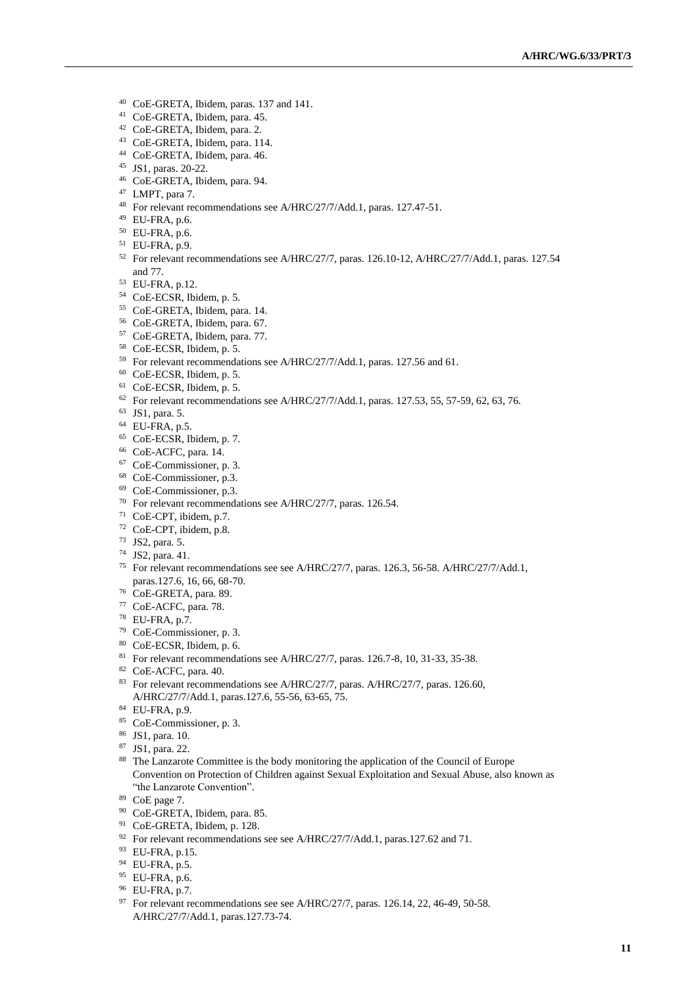- CoE-GRETA, Ibidem, paras. 137 and 141.
- CoE-GRETA, Ibidem, para. 45.
- CoE-GRETA, Ibidem, para. 2.
- CoE-GRETA, Ibidem, para. 114.
- CoE-GRETA, Ibidem, para. 46.
- JS1, paras. 20-22.
- CoE-GRETA, Ibidem, para. 94.
- LMPT, para 7.
- For relevant recommendations see A/HRC/27/7/Add.1, paras. 127.47-51.
- EU-FRA, p.6.
- EU-FRA, p.6.
- EU-FRA, p.9.
- For relevant recommendations see A/HRC/27/7, paras. 126.10-12, A/HRC/27/7/Add.1, paras. 127.54 and 77.
- EU-FRA, p.12.
- CoE-ECSR, Ibidem, p. 5.
- CoE-GRETA, Ibidem, para. 14.
- CoE-GRETA, Ibidem, para. 67.
- CoE-GRETA, Ibidem, para. 77.
- CoE-ECSR, Ibidem, p. 5.
- For relevant recommendations see A/HRC/27/7/Add.1, paras. 127.56 and 61.
- CoE-ECSR, Ibidem, p. 5.
- CoE-ECSR, Ibidem, p. 5.
- For relevant recommendations see A/HRC/27/7/Add.1, paras. 127.53, 55, 57-59, 62, 63, 76.
- JS1, para. 5.
- EU-FRA, p.5.
- CoE-ECSR, Ibidem, p. 7.
- CoE-ACFC, para. 14.
- CoE-Commissioner, p. 3.
- CoE-Commissioner, p.3.
- CoE-Commissioner, p.3.
- For relevant recommendations see A/HRC/27/7, paras. 126.54.
- CoE-CPT, ibidem, p.7.
- CoE-CPT, ibidem, p.8.
- JS2, para. 5.
- JS2, para. 41.
- For relevant recommendations see see A/HRC/27/7, paras. 126.3, 56-58. A/HRC/27/7/Add.1, paras.127.6, 16, 66, 68-70.
- CoE-GRETA, para. 89.
- CoE-ACFC, para. 78.
- EU-FRA, p.7.
- CoE-Commissioner, p. 3.
- CoE-ECSR, Ibidem, p. 6.
- <sup>81</sup> For relevant recommendations see A/HRC/27/7, paras. 126.7-8, 10, 31-33, 35-38.
- CoE-ACFC, para. 40.
- <sup>83</sup> For relevant recommendations see A/HRC/27/7, paras. A/HRC/27/7, paras. 126.60, A/HRC/27/7/Add.1, paras.127.6, 55-56, 63-65, 75.
- EU-FRA, p.9.
- CoE-Commissioner, p. 3.
- JS1, para. 10.
- JS1, para. 22.
- 88 The Lanzarote Committee is the body monitoring the application of the Council of Europe Convention on Protection of Children against Sexual Exploitation and Sexual Abuse, also known as "the Lanzarote Convention".
- CoE page 7.
- CoE-GRETA, Ibidem, para. 85.
- CoE-GRETA, Ibidem, p. 128.
- <sup>92</sup> For relevant recommendations see see A/HRC/27/7/Add.1, paras.127.62 and 71.
- EU-FRA, p.15.
- EU-FRA, p.5.
- EU-FRA, p.6.
- EU-FRA, p.7.
- <sup>97</sup> For relevant recommendations see see A/HRC/27/7, paras. 126.14, 22, 46-49, 50-58. A/HRC/27/7/Add.1, paras.127.73-74.